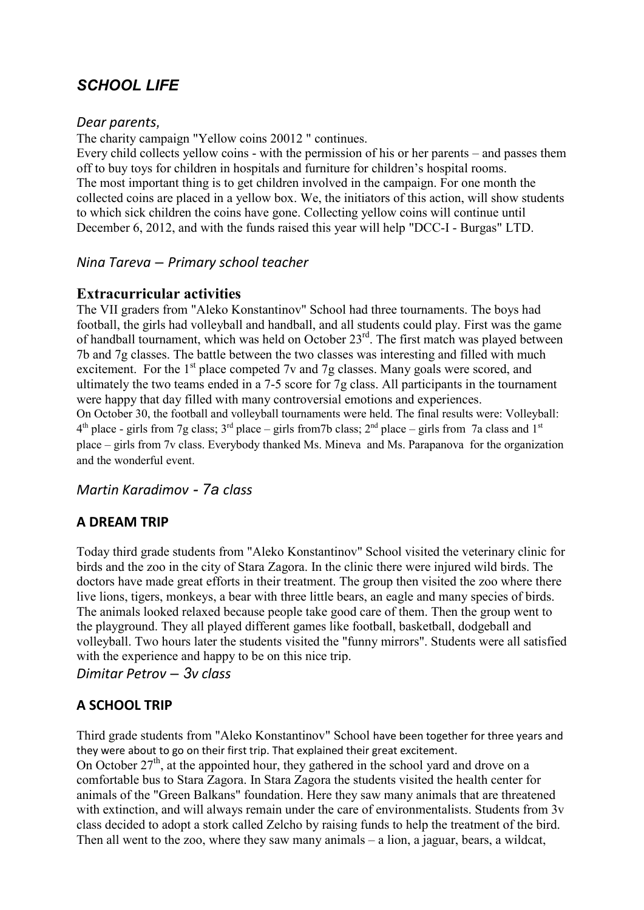# *SCHOOL LIFE*

#### *Dear parents,*

The charity campaign "Yellow coins 20012 " continues.

Every child collects yellow coins - with the permission of his or her parents – and passes them off to buy toys for children in hospitals and furniture for children's hospital rooms. The most important thing is to get children involved in the campaign. For one month the collected coins are placed in a yellow box. We, the initiators of this action, will show students to which sick children the coins have gone. Collecting yellow coins will continue until December 6, 2012, and with the funds raised this year will help "DCC-I - Burgas" LTD.

#### *Nina Tareva – Primary school teacher*

### **Extracurricular activities**

The VII graders from "Aleko Konstantinov" School had three tournaments. The boys had football, the girls had volleyball and handball, and all students could play. First was the game of handball tournament, which was held on October 23<sup>rd</sup>. The first match was played between 7b and 7g classes. The battle between the two classes was interesting and filled with much excitement. For the  $1<sup>st</sup>$  place competed 7v and 7g classes. Many goals were scored, and ultimately the two teams ended in a 7-5 score for 7g class. All participants in the tournament were happy that day filled with many controversial emotions and experiences. On October 30, the football and volleyball tournaments were held. The final results were: Volleyball:  $4<sup>th</sup>$  place - girls from 7g class; 3<sup>rd</sup> place – girls from7b class; 2<sup>nd</sup> place – girls from 7a class and 1<sup>st</sup> place – girls from 7v class. Everybody thanked Ms. Mineva and Ms. Parapanova for the organization and the wonderful event.

*Martin Karadimov - 7а class*

## **A DREAM TRIP**

Today third grade students from "Aleko Konstantinov" School visited the veterinary clinic for birds and the zoo in the city of Stara Zagora. In the clinic there were injured wild birds. The doctors have made great efforts in their treatment. The group then visited the zoo where there live lions, tigers, monkeys, a bear with three little bears, an eagle and many species of birds. The animals looked relaxed because people take good care of them. Then the group went to the playground. They all played different games like football, basketball, dodgeball and volleyball. Two hours later the students visited the "funny mirrors". Students were all satisfied with the experience and happy to be on this nice trip.

*Dimitar Petrov – 3v class* 

## **A SCHOOL TRIP**

Third grade students from "Aleko Konstantinov" School have been together for three years and they were about to go on their first trip. That explained their great excitement.

On October  $27<sup>th</sup>$ , at the appointed hour, they gathered in the school yard and drove on a comfortable bus to Stara Zagora. In Stara Zagora the students visited the health center for animals of the "Green Balkans" foundation. Here they saw many animals that are threatened with extinction, and will always remain under the care of environmentalists. Students from 3v class decided to adopt a stork called Zelcho by raising funds to help the treatment of the bird. Then all went to the zoo, where they saw many animals – a lion, a jaguar, bears, a wildcat,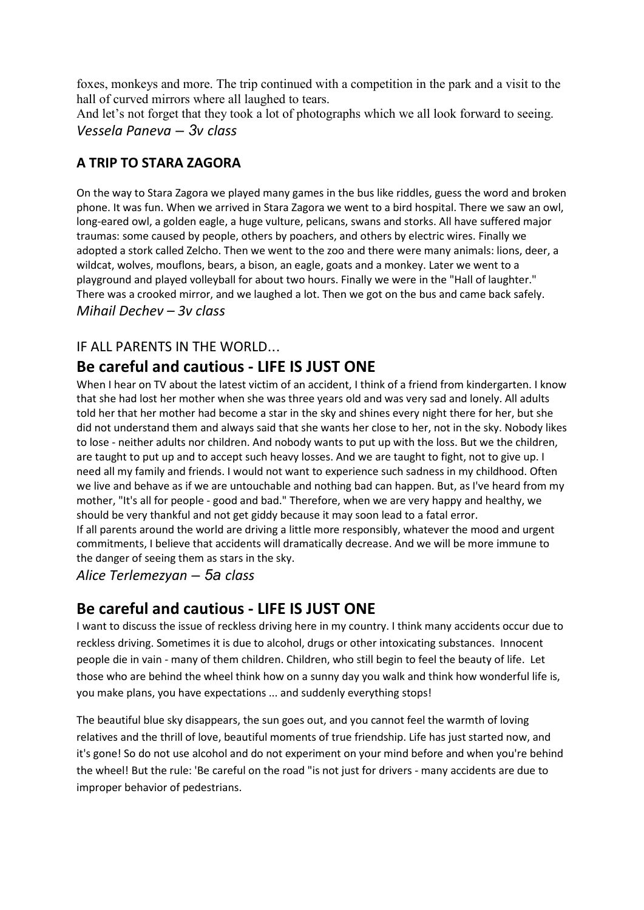foxes, monkeys and more. The trip continued with a competition in the park and a visit to the hall of curved mirrors where all laughed to tears.

And let's not forget that they took a lot of photographs which we all look forward to seeing. *Vessela Paneva – 3v class* 

## **A TRIP TO STARA ZAGORA**

On the way to Stara Zagora we played many games in the bus like riddles, guess the word and broken phone. It was fun. When we arrived in Stara Zagora we went to a bird hospital. There we saw an owl, long-eared owl, a golden eagle, a huge vulture, pelicans, swans and storks. All have suffered major traumas: some caused by people, others by poachers, and others by electric wires. Finally we adopted a stork called Zelcho. Then we went to the zoo and there were many animals: lions, deer, a wildcat, wolves, mouflons, bears, a bison, an eagle, goats and a monkey. Later we went to a playground and played volleyball for about two hours. Finally we were in the "Hall of laughter." There was a crooked mirror, and we laughed a lot. Then we got on the bus and came back safely. *Mihail Dechev – 3v class* 

### IF ALL PARENTS IN THE WORLD...

## **Be careful and cautious - LIFE IS JUST ONE**

When I hear on TV about the latest victim of an accident, I think of a friend from kindergarten. I know that she had lost her mother when she was three years old and was very sad and lonely. All adults told her that her mother had become a star in the sky and shines every night there for her, but she did not understand them and always said that she wants her close to her, not in the sky. Nobody likes to lose - neither adults nor children. And nobody wants to put up with the loss. But we the children, are taught to put up and to accept such heavy losses. And we are taught to fight, not to give up. I need all my family and friends. I would not want to experience such sadness in my childhood. Often we live and behave as if we are untouchable and nothing bad can happen. But, as I've heard from my mother, "It's all for people - good and bad." Therefore, when we are very happy and healthy, we should be very thankful and not get giddy because it may soon lead to a fatal error. If all parents around the world are driving a little more responsibly, whatever the mood and urgent commitments, I believe that accidents will dramatically decrease. And we will be more immune to the danger of seeing them as stars in the sky.

*Alice Terlemezyan – 5а class* 

## **Be careful and cautious - LIFE IS JUST ONE**

I want to discuss the issue of reckless driving here in my country. I think many accidents occur due to reckless driving. Sometimes it is due to alcohol, drugs or other intoxicating substances. Innocent people die in vain - many of them children. Children, who still begin to feel the beauty of life. Let those who are behind the wheel think how on a sunny day you walk and think how wonderful life is, you make plans, you have expectations ... and suddenly everything stops!

The beautiful blue sky disappears, the sun goes out, and you cannot feel the warmth of loving relatives and the thrill of love, beautiful moments of true friendship. Life has just started now, and it's gone! So do not use alcohol and do not experiment on your mind before and when you're behind the wheel! But the rule: 'Be careful on the road "is not just for drivers - many accidents are due to improper behavior of pedestrians.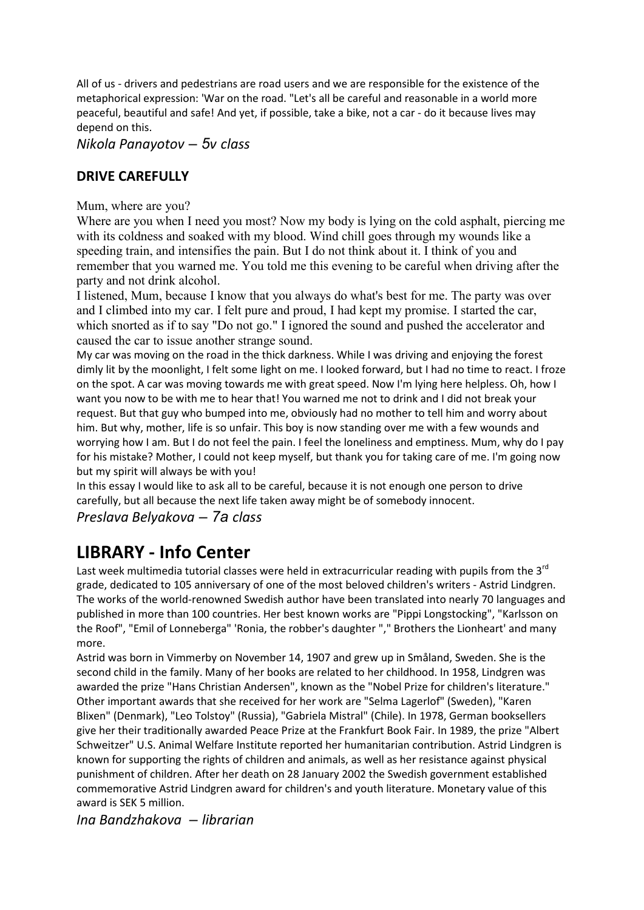All of us - drivers and pedestrians are road users and we are responsible for the existence of the metaphorical expression: 'War on the road. "Let's all be careful and reasonable in a world more peaceful, beautiful and safe! And yet, if possible, take a bike, not a car - do it because lives may depend on this.

*Nikola Panayotov – 5v class* 

### **DRIVE CAREFULLY**

Mum, where are you?

Where are you when I need you most? Now my body is lying on the cold asphalt, piercing me with its coldness and soaked with my blood. Wind chill goes through my wounds like a speeding train, and intensifies the pain. But I do not think about it. I think of you and remember that you warned me. You told me this evening to be careful when driving after the party and not drink alcohol.

I listened, Mum, because I know that you always do what's best for me. The party was over and I climbed into my car. I felt pure and proud, I had kept my promise. I started the car, which snorted as if to say "Do not go." I ignored the sound and pushed the accelerator and caused the car to issue another strange sound.

My car was moving on the road in the thick darkness. While I was driving and enjoying the forest dimly lit by the moonlight, I felt some light on me. I looked forward, but I had no time to react. I froze on the spot. A car was moving towards me with great speed. Now I'm lying here helpless. Oh, how I want you now to be with me to hear that! You warned me not to drink and I did not break your request. But that guy who bumped into me, obviously had no mother to tell him and worry about him. But why, mother, life is so unfair. This boy is now standing over me with a few wounds and worrying how I am. But I do not feel the pain. I feel the loneliness and emptiness. Mum, why do I pay for his mistake? Mother, I could not keep myself, but thank you for taking care of me. I'm going now but my spirit will always be with you!

In this essay I would like to ask all to be careful, because it is not enough one person to drive carefully, but all because the next life taken away might be of somebody innocent.

*Preslava Belyakova – 7а class* 

# **LIBRARY - Info Center**

Last week multimedia tutorial classes were held in extracurricular reading with pupils from the 3<sup>rd</sup> grade, dedicated to 105 anniversary of one of the most beloved children's writers - Astrid Lindgren. The works of the world-renowned Swedish author have been translated into nearly 70 languages and published in more than 100 countries. Her best known works are "Pippi Longstocking", "Karlsson on the Roof", "Emil of Lonneberga" 'Ronia, the robber's daughter "," Brothers the Lionheart' and many more.

Astrid was born in Vimmerby on November 14, 1907 and grew up in Småland, Sweden. She is the second child in the family. Many of her books are related to her childhood. In 1958, Lindgren was awarded the prize "Hans Christian Andersen", known as the "Nobel Prize for children's literature." Other important awards that she received for her work are "Selma Lagerlof" (Sweden), "Karen Blixen" (Denmark), "Leo Tolstoy" (Russia), "Gabriela Mistral" (Chile). In 1978, German booksellers give her their traditionally awarded Peace Prize at the Frankfurt Book Fair. In 1989, the prize "Albert Schweitzer" U.S. Animal Welfare Institute reported her humanitarian contribution. Astrid Lindgren is known for supporting the rights of children and animals, as well as her resistance against physical punishment of children. After her death on 28 January 2002 the Swedish government established commemorative Astrid Lindgren award for children's and youth literature. Monetary value of this award is SEK 5 million.

*Ina Bandzhakova – librarian*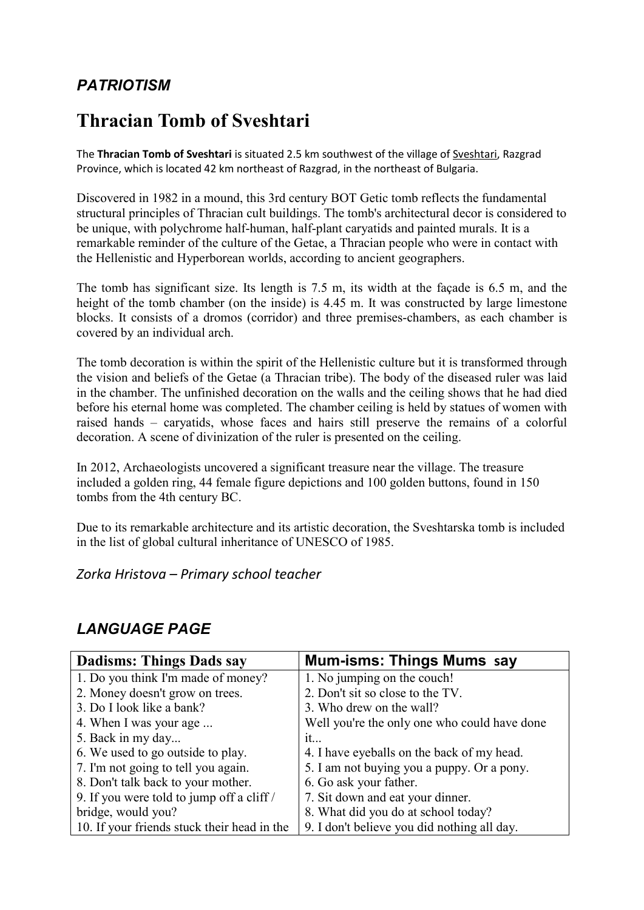# *PATRIOTISM*

# **Thracian Tomb of Sveshtari**

The **Thracian Tomb of Sveshtari** is situated 2.5 km southwest of the village of Sveshtari, Razgrad Province, which is located 42 km northeast of Razgrad, in the northeast of Bulgaria.

Discovered in 1982 in a mound, this 3rd century BOT Getic tomb reflects the fundamental structural principles of Thracian cult buildings. The tomb's architectural decor is considered to be unique, with polychrome half-human, half-plant caryatids and painted murals. It is a remarkable reminder of the culture of the Getae, a Thracian people who were in contact with the Hellenistic and Hyperborean worlds, according to ancient geographers.

The tomb has significant size. Its length is 7.5 m, its width at the façade is 6.5 m, and the height of the tomb chamber (on the inside) is 4.45 m. It was constructed by large limestone blocks. It consists of a dromos (corridor) and three premises-chambers, as each chamber is covered by an individual arch.

The tomb decoration is within the spirit of the Hellenistic culture but it is transformed through the vision and beliefs of the Getae (a Thracian tribe). The body of the diseased ruler was laid in the chamber. The unfinished decoration on the walls and the ceiling shows that he had died before his eternal home was completed. The chamber ceiling is held by statues of women with raised hands – caryatids, whose faces and hairs still preserve the remains of a colorful decoration. A scene of divinization of the ruler is presented on the ceiling.

In 2012, Archaeologists uncovered a significant treasure near the village. The treasure included a golden ring, 44 female figure depictions and 100 golden buttons, found in 150 tombs from the 4th century BC.

Due to its remarkable architecture and its artistic decoration, the Sveshtarska tomb is included in the list of global cultural inheritance of UNESCO of 1985.

*Zorka Hristova – Primary school teacher* 

## *LANGUAGE PAGE*

| <b>Dadisms: Things Dads say</b>             | <b>Mum-isms: Things Mums say</b>             |
|---------------------------------------------|----------------------------------------------|
| 1. Do you think I'm made of money?          | 1. No jumping on the couch!                  |
| 2. Money doesn't grow on trees.             | 2. Don't sit so close to the TV.             |
| 3. Do I look like a bank?                   | 3. Who drew on the wall?                     |
| 4. When I was your age                      | Well you're the only one who could have done |
| 5. Back in my day                           | it                                           |
| 6. We used to go outside to play.           | 4. I have eyeballs on the back of my head.   |
| 7. I'm not going to tell you again.         | 5. I am not buying you a puppy. Or a pony.   |
| 8. Don't talk back to your mother.          | 6. Go ask your father.                       |
| 9. If you were told to jump off a cliff /   | 7. Sit down and eat your dinner.             |
| bridge, would you?                          | 8. What did you do at school today?          |
| 10. If your friends stuck their head in the | 9. I don't believe you did nothing all day.  |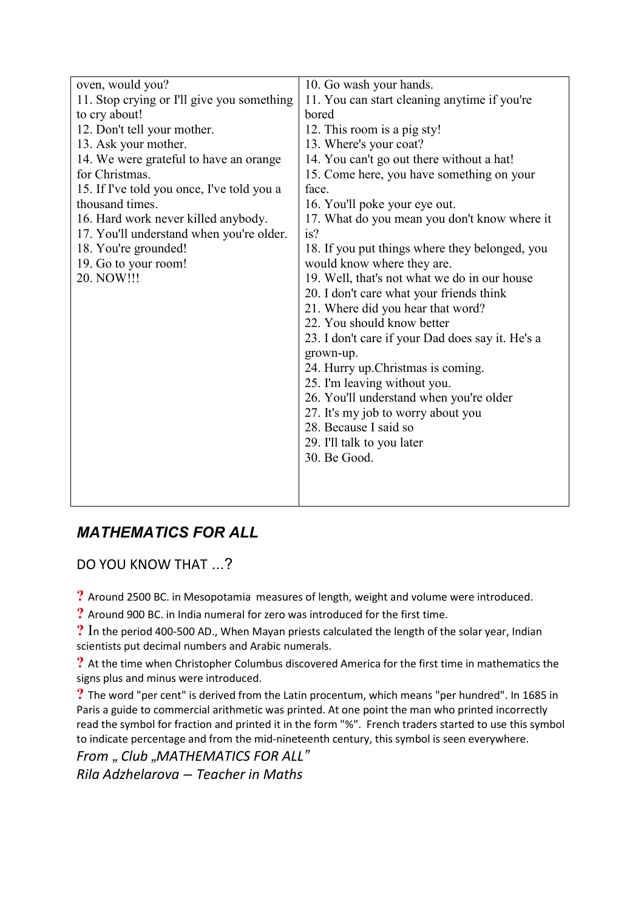| oven, would you?                           | 10. Go wash your hands.                          |
|--------------------------------------------|--------------------------------------------------|
| 11. Stop crying or I'll give you something | 11. You can start cleaning anytime if you're     |
| to cry about!                              | bored                                            |
| 12. Don't tell your mother.                | 12. This room is a pig sty!                      |
| 13. Ask your mother.                       | 13. Where's your coat?                           |
| 14. We were grateful to have an orange     | 14. You can't go out there without a hat!        |
| for Christmas.                             | 15. Come here, you have something on your        |
| 15. If I've told you once, I've told you a | face.                                            |
| thousand times.                            | 16. You'll poke your eye out.                    |
| 16. Hard work never killed anybody.        | 17. What do you mean you don't know where it     |
| 17. You'll understand when you're older.   | is?                                              |
| 18. You're grounded!                       | 18. If you put things where they belonged, you   |
| 19. Go to your room!                       | would know where they are.                       |
| 20. NOW!!!                                 | 19. Well, that's not what we do in our house     |
|                                            | 20. I don't care what your friends think         |
|                                            | 21. Where did you hear that word?                |
|                                            | 22. You should know better                       |
|                                            | 23. I don't care if your Dad does say it. He's a |
|                                            | grown-up.                                        |
|                                            | 24. Hurry up. Christmas is coming.               |
|                                            | 25. I'm leaving without you.                     |
|                                            | 26. You'll understand when you're older          |
|                                            | 27. It's my job to worry about you               |
|                                            | 28. Because I said so                            |
|                                            | 29. I'll talk to you later                       |
|                                            | 30. Be Good.                                     |
|                                            |                                                  |
|                                            |                                                  |
|                                            |                                                  |

## *MATHEMATICS FOR ALL*

DO YOU KNOW THAT ...?

**?** Around 2500 BC. in Mesopotamia measures of length, weight and volume were introduced.

**?** Around 900 BC. in India numeral for zero was introduced for the first time.

**?** In the period 400-500 AD., When Mayan priests calculated the length of the solar year, Indian scientists put decimal numbers and Arabic numerals.

**?** At the time when Christopher Columbus discovered America for the first time in mathematics the signs plus and minus were introduced.

**?** The word "per cent" is derived from the Latin procentum, which means "per hundred". In 1685 in Paris a guide to commercial arithmetic was printed. At one point the man who printed incorrectly read the symbol for fraction and printed it in the form "%". French traders started to use this symbol to indicate percentage and from the mid-nineteenth century, this symbol is seen everywhere.

*From " Club "MATHEMATICS FOR ALL" Rila Adzhelarova – Teacher in Maths*